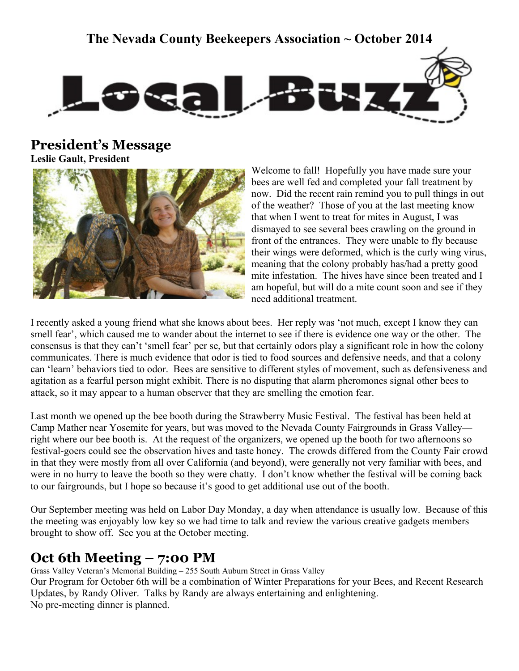### **The Nevada County Beekeepers Association ~ October 2014**



**President's Message**

**Leslie Gault, President**



Welcome to fall! Hopefully you have made sure your bees are well fed and completed your fall treatment by now. Did the recent rain remind you to pull things in out of the weather? Those of you at the last meeting know that when I went to treat for mites in August, I was dismayed to see several bees crawling on the ground in front of the entrances. They were unable to fly because their wings were deformed, which is the curly wing virus, meaning that the colony probably has/had a pretty good mite infestation. The hives have since been treated and I am hopeful, but will do a mite count soon and see if they need additional treatment.

I recently asked a young friend what she knows about bees. Her reply was 'not much, except I know they can smell fear', which caused me to wander about the internet to see if there is evidence one way or the other. The consensus is that they can't 'smell fear' per se, but that certainly odors play a significant role in how the colony communicates. There is much evidence that odor is tied to food sources and defensive needs, and that a colony can 'learn' behaviors tied to odor. Bees are sensitive to different styles of movement, such as defensiveness and agitation as a fearful person might exhibit. There is no disputing that alarm pheromones signal other bees to attack, so it may appear to a human observer that they are smelling the emotion fear.

Last month we opened up the bee booth during the Strawberry Music Festival. The festival has been held at Camp Mather near Yosemite for years, but was moved to the Nevada County Fairgrounds in Grass Valley right where our bee booth is. At the request of the organizers, we opened up the booth for two afternoons so festival-goers could see the observation hives and taste honey. The crowds differed from the County Fair crowd in that they were mostly from all over California (and beyond), were generally not very familiar with bees, and were in no hurry to leave the booth so they were chatty. I don't know whether the festival will be coming back to our fairgrounds, but I hope so because it's good to get additional use out of the booth.

Our September meeting was held on Labor Day Monday, a day when attendance is usually low. Because of this the meeting was enjoyably low key so we had time to talk and review the various creative gadgets members brought to show off. See you at the October meeting.

## **Oct 6th Meeting – 7:00 PM**

Grass Valley Veteran's Memorial Building – 255 South Auburn Street in Grass Valley Our Program for October 6th will be a combination of Winter Preparations for your Bees, and Recent Research Updates, by Randy Oliver. Talks by Randy are always entertaining and enlightening. No pre-meeting dinner is planned.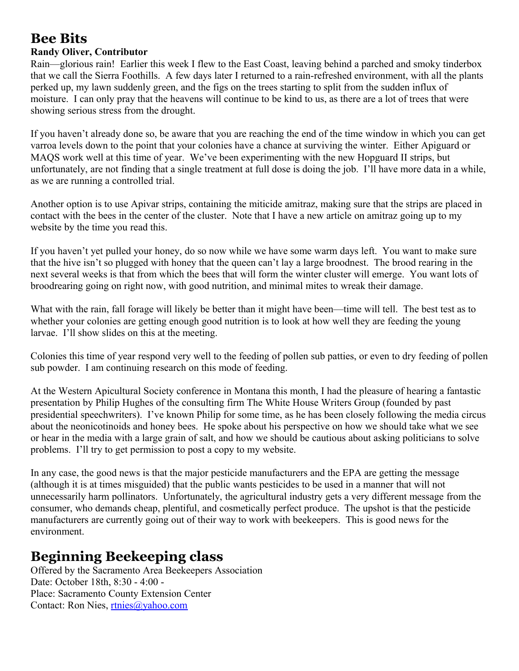## **Bee Bits**

#### **Randy Oliver, Contributor**

Rain—glorious rain! Earlier this week I flew to the East Coast, leaving behind a parched and smoky tinderbox that we call the Sierra Foothills. A few days later I returned to a rain-refreshed environment, with all the plants perked up, my lawn suddenly green, and the figs on the trees starting to split from the sudden influx of moisture. I can only pray that the heavens will continue to be kind to us, as there are a lot of trees that were showing serious stress from the drought.

If you haven't already done so, be aware that you are reaching the end of the time window in which you can get varroa levels down to the point that your colonies have a chance at surviving the winter. Either Apiguard or MAQS work well at this time of year. We've been experimenting with the new Hopguard II strips, but unfortunately, are not finding that a single treatment at full dose is doing the job. I'll have more data in a while, as we are running a controlled trial.

Another option is to use Apivar strips, containing the miticide amitraz, making sure that the strips are placed in contact with the bees in the center of the cluster. Note that I have a new article on amitraz going up to my website by the time you read this.

If you haven't yet pulled your honey, do so now while we have some warm days left. You want to make sure that the hive isn't so plugged with honey that the queen can't lay a large broodnest. The brood rearing in the next several weeks is that from which the bees that will form the winter cluster will emerge. You want lots of broodrearing going on right now, with good nutrition, and minimal mites to wreak their damage.

What with the rain, fall forage will likely be better than it might have been—time will tell. The best test as to whether your colonies are getting enough good nutrition is to look at how well they are feeding the young larvae. I'll show slides on this at the meeting.

Colonies this time of year respond very well to the feeding of pollen sub patties, or even to dry feeding of pollen sub powder. I am continuing research on this mode of feeding.

At the Western Apicultural Society conference in Montana this month, I had the pleasure of hearing a fantastic presentation by Philip Hughes of the consulting firm The White House Writers Group (founded by past presidential speechwriters). I've known Philip for some time, as he has been closely following the media circus about the neonicotinoids and honey bees. He spoke about his perspective on how we should take what we see or hear in the media with a large grain of salt, and how we should be cautious about asking politicians to solve problems. I'll try to get permission to post a copy to my website.

In any case, the good news is that the major pesticide manufacturers and the EPA are getting the message (although it is at times misguided) that the public wants pesticides to be used in a manner that will not unnecessarily harm pollinators. Unfortunately, the agricultural industry gets a very different message from the consumer, who demands cheap, plentiful, and cosmetically perfect produce. The upshot is that the pesticide manufacturers are currently going out of their way to work with beekeepers. This is good news for the environment.

### **Beginning Beekeeping class**

Offered by the Sacramento Area Beekeepers Association Date: October 18th, 8:30 - 4:00 - Place: Sacramento County Extension Center Contact: Ron Nies, [rtnies@yahoo.com](mailto:rtnies@yahoo.com)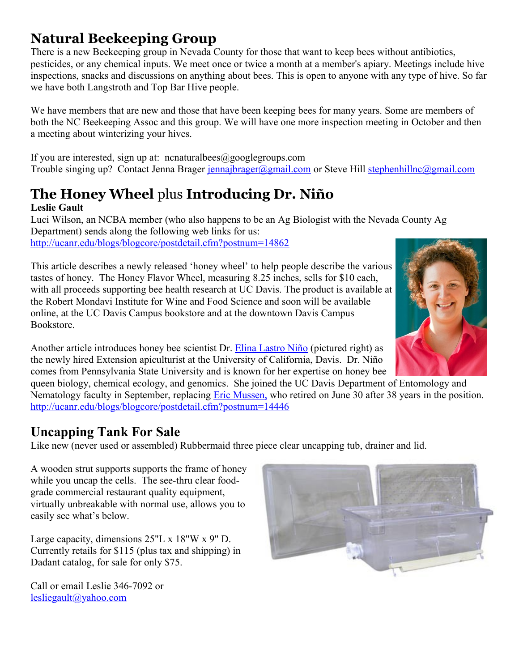# **Natural Beekeeping Group**

There is a new Beekeeping group in Nevada County for those that want to keep bees without antibiotics, pesticides, or any chemical inputs. We meet once or twice a month at a member's apiary. Meetings include hive inspections, snacks and discussions on anything about bees. This is open to anyone with any type of hive. So far we have both Langstroth and Top Bar Hive people.

We have members that are new and those that have been keeping bees for many years. Some are members of both the NC Beekeeping Assoc and this group. We will have one more inspection meeting in October and then a meeting about winterizing your hives.

If you are interested, sign up at: ncnaturalbees@googlegroups.com Trouble singing up? Contact Jenna Brager [jennajbrager@gmail.com](mailto:jennajbrager@gmail.com) or Steve Hill [stephenhillnc@gmail.com](mailto:stephenhillnc@gmail.com)

# **The Honey Wheel** plus **Introducing Dr. Niño**

#### **Leslie Gault**

Luci Wilson, an NCBA member (who also happens to be an Ag Biologist with the Nevada County Ag Department) sends along the following web links for us: <http://ucanr.edu/blogs/blogcore/postdetail.cfm?postnum=14862>

This article describes a newly released 'honey wheel' to help people describe the various tastes of honey. The Honey Flavor Wheel, measuring 8.25 inches, sells for \$10 each, with all proceeds supporting bee health research at UC Davis. The product is available at the Robert Mondavi Institute for Wine and Food Science and soon will be available online, at the UC Davis Campus bookstore and at the downtown Davis Campus Bookstore.



Another article introduces honey bee scientist Dr. [Elina Lastro Niño](http://ento.psu.edu/directory/eul125) (pictured right) as the newly hired Extension apiculturist at the University of California, Davis. Dr. Niño comes from Pennsylvania State University and is known for her expertise on honey bee

queen biology, chemical ecology, and genomics. She joined the UC Davis Department of Entomology and Nematology faculty in September, replacing *Eric Mussen*, who retired on June 30 after 38 years in the position. <http://ucanr.edu/blogs/blogcore/postdetail.cfm?postnum=14446>

## **Uncapping Tank For Sale**

Like new (never used or assembled) Rubbermaid three piece clear uncapping tub, drainer and lid.

A wooden strut supports supports the frame of honey while you uncap the cells. The see-thru clear foodgrade commercial restaurant quality equipment, virtually unbreakable with normal use, allows you to easily see what's below.

Large capacity, dimensions 25"L x 18"W x 9" D. Currently retails for \$115 (plus tax and shipping) in Dadant catalog, for sale for only \$75.

Call or email Leslie 346-7092 or [lesliegault@yahoo.com](mailto:lesliegault@yahoo.com)

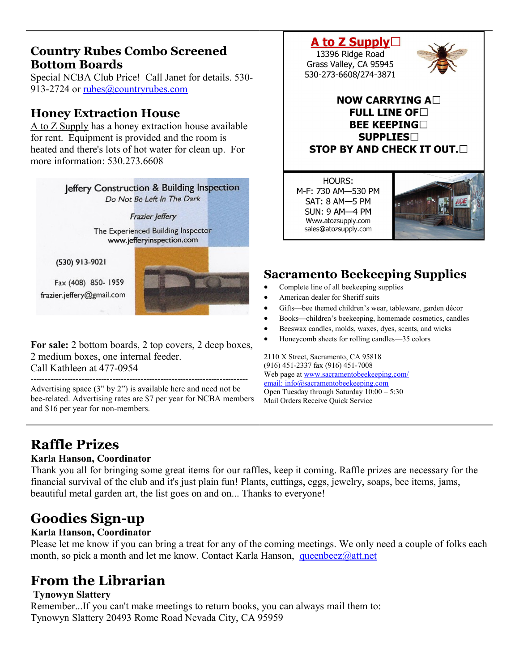### **Country Rubes Combo Screened Bottom Boards**

Special NCBA Club Price! Call Janet for details. 530 913-2724 or [rubes@countryrubes.com](mailto:rubes@countryrubes.com)

### **Honey Extraction House**

A to Z Supply has a honey extraction house available for rent. Equipment is provided and the room is heated and there's lots of hot water for clean up. For more information: 530 273 6608



**For sale:** 2 bottom boards, 2 top covers, 2 deep boxes, 2 medium boxes, one internal feeder. Call Kathleen at 477-0954

----------------------------------------------------------------------------- Advertising space (3" by 2") is available here and need not be bee-related. Advertising rates are \$7 per year for NCBA members and \$16 per year for non-members.

### A to Z Supply $\Box$

13396 Ridge Road Grass Valley, CA 95945 530-273-6608/274-3871



#### NOW CARRYING A $\square$ **FULL LINE OF BEE KEEPING SUPPLIES STOP BY AND CHECK IT OUT.**

HOURS: M-F: 730 AM-530 PM SAT: 8 AM-5 PM **SUN: 9 AM-4 PM** Www.atozsupply.com sales@atozsupply.com



## **Sacramento Beekeeping Supplies**

- Complete line of all beekeeping supplies
- American dealer for Sheriff suits
- Gifts—bee themed children's wear, tableware, garden décor
- Books—children's beekeeping, homemade cosmetics, candles
- Beeswax candles, molds, waxes, dyes, scents, and wicks
- Honeycomb sheets for rolling candles—35 colors

2110 X Street, Sacramento, CA 95818 (916) 451-2337 fax (916) 451-7008 Web page at [www.sacramentobeekeeping.com/](http://www.sacramentobeekeeping.com/) email: inf[o@sacramentobeekeeping.com](mailto:%20info@sacramentobeekeeping.com) Open Tuesday through Saturday 10:00 – 5:30 Mail Orders Receive Quick Service

# **Raffle Prizes**

#### **Karla Hanson, Coordinator**

Thank you all for bringing some great items for our raffles, keep it coming. Raffle prizes are necessary for the financial survival of the club and it's just plain fun! Plants, cuttings, eggs, jewelry, soaps, bee items, jams, beautiful metal garden art, the list goes on and on... Thanks to everyone!

# **Goodies Sign-up**

### **Karla Hanson, Coordinator**

Please let me know if you can bring a treat for any of the coming meetings. We only need a couple of folks each month, so pick a month and let me know. Contact Karla Hanson, [queenbeez@att.net](mailto:queenbeez@att.net)

# **From the Librarian**

### **Tynowyn Slattery**

Remember...If you can't make meetings to return books, you can always mail them to: Tynowyn Slattery 20493 Rome Road Nevada City, CA 95959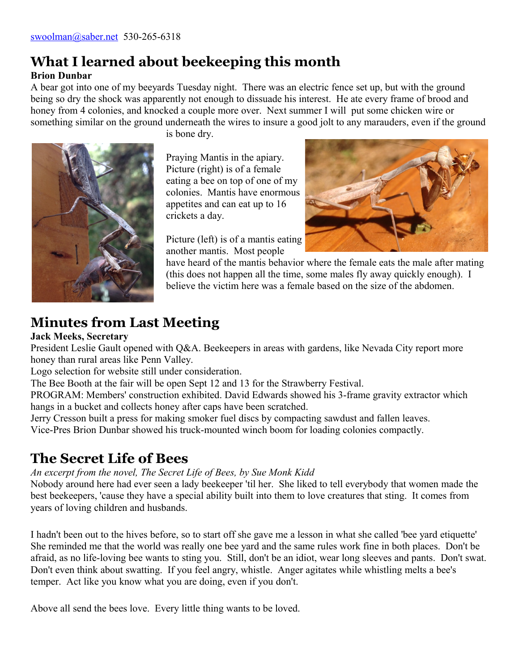# **What I learned about beekeeping this month**

#### **Brion Dunbar**

A bear got into one of my beeyards Tuesday night. There was an electric fence set up, but with the ground being so dry the shock was apparently not enough to dissuade his interest. He ate every frame of brood and honey from 4 colonies, and knocked a couple more over. Next summer I will put some chicken wire or something similar on the ground underneath the wires to insure a good jolt to any marauders, even if the ground

is bone dry.

Praying Mantis in the apiary. Picture (right) is of a female eating a bee on top of one of my colonies. Mantis have enormous appetites and can eat up to 16 crickets a day.

Picture (left) is of a mantis eating another mantis. Most people



have heard of the mantis behavior where the female eats the male after mating (this does not happen all the time, some males fly away quickly enough). I believe the victim here was a female based on the size of the abdomen.

# **Minutes from Last Meeting**

#### **Jack Meeks, Secretary**

President Leslie Gault opened with Q&A. Beekeepers in areas with gardens, like Nevada City report more honey than rural areas like Penn Valley.

Logo selection for website still under consideration.

The Bee Booth at the fair will be open Sept 12 and 13 for the Strawberry Festival.

PROGRAM: Members' construction exhibited. David Edwards showed his 3-frame gravity extractor which hangs in a bucket and collects honey after caps have been scratched.

Jerry Cresson built a press for making smoker fuel discs by compacting sawdust and fallen leaves. Vice-Pres Brion Dunbar showed his truck-mounted winch boom for loading colonies compactly.

## **The Secret Life of Bees**

*An excerpt from the novel, The Secret Life of Bees, by Sue Monk Kidd* 

Nobody around here had ever seen a lady beekeeper 'til her. She liked to tell everybody that women made the best beekeepers, 'cause they have a special ability built into them to love creatures that sting. It comes from years of loving children and husbands.

I hadn't been out to the hives before, so to start off she gave me a lesson in what she called 'bee yard etiquette' She reminded me that the world was really one bee yard and the same rules work fine in both places. Don't be afraid, as no life-loving bee wants to sting you. Still, don't be an idiot, wear long sleeves and pants. Don't swat. Don't even think about swatting. If you feel angry, whistle. Anger agitates while whistling melts a bee's temper. Act like you know what you are doing, even if you don't.

Above all send the bees love. Every little thing wants to be loved.